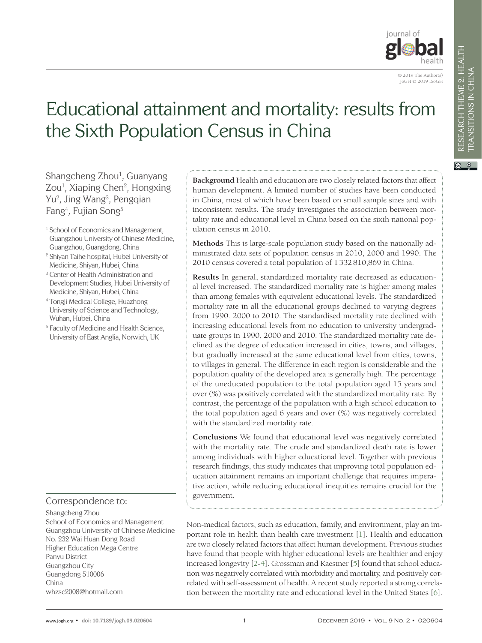

© 2019 The Author(s) JoGH © 2019 ISoGH

# Educational attainment and mortality: results from the Sixth Population Census in China

Shangcheng Zhou<sup>1</sup>, Guanyang Zou<sup>1</sup>, Xiaping Chen<sup>2</sup>, Hongxing Yu<sup>2</sup>, Jing Wang<sup>3</sup>, Pengqian Fang4 , Fujian Song5

- <sup>1</sup> School of Economics and Management, Guangzhou University of Chinese Medicine, Guangzhou, Guangdong, China
- <sup>2</sup> Shiyan Taihe hospital, Hubei University of Medicine, Shiyan, Hubei, China
- <sup>3</sup> Center of Health Administration and Development Studies, Hubei University of Medicine, Shiyan, Hubei, China
- <sup>4</sup> Tongji Medical College, Huazhong University of Science and Technology, Wuhan, Hubei, China
- <sup>5</sup> Faculty of Medicine and Health Science, University of East Anglia, Norwich, UK

# Correspondence to:

Shangcheng Zhou

School of Economics and Management Guangzhou University of Chinese Medicine No. 232 Wai Huan Dong Road Higher Education Mega Centre Panyu District Guangzhou City Guangdong 510006 China whzsc2008@hotmail.com

**Background** Health and education are two closely related factors that affect human development. A limited number of studies have been conducted in China, most of which have been based on small sample sizes and with inconsistent results. The study investigates the association between mortality rate and educational level in China based on the sixth national population census in 2010.

**Methods** This is large-scale population study based on the nationally administrated data sets of population census in 2010, 2000 and 1990. The 2010 census covered a total population of 1332810,869 in China.

**Results** In general, standardized mortality rate decreased as educational level increased. The standardized mortality rate is higher among males than among females with equivalent educational levels. The standardized mortality rate in all the educational groups declined to varying degrees from 1990. 2000 to 2010. The standardised mortality rate declined with increasing educational levels from no education to university undergraduate groups in 1990, 2000 and 2010. The standardized mortality rate declined as the degree of education increased in cities, towns, and villages, but gradually increased at the same educational level from cities, towns, to villages in general. The difference in each region is considerable and the population quality of the developed area is generally high. The percentage of the uneducated population to the total population aged 15 years and over (%) was positively correlated with the standardized mortality rate. By contrast, the percentage of the population with a high school education to the total population aged 6 years and over (%) was negatively correlated with the standardized mortality rate.

**Conclusions** We found that educational level was negatively correlated with the mortality rate. The crude and standardized death rate is lower among individuals with higher educational level. Together with previous research findings, this study indicates that improving total population education attainment remains an important challenge that requires imperative action, while reducing educational inequities remains crucial for the government.

Non-medical factors, such as education, family, and environment, play an important role in health than health care investment [\[1\]](#page-10-0). Health and education are two closely related factors that affect human development. Previous studies have found that people with higher educational levels are healthier and enjoy increased longevity [\[2-](#page-10-1)[4](#page-10-2)]. Grossman and Kaestner [\[5\]](#page-10-3) found that school education was negatively correlated with morbidity and mortality, and positively correlated with self-assessment of health. A recent study reported a strong correlation between the mortality rate and educational level in the United States [[6\]](#page-10-4).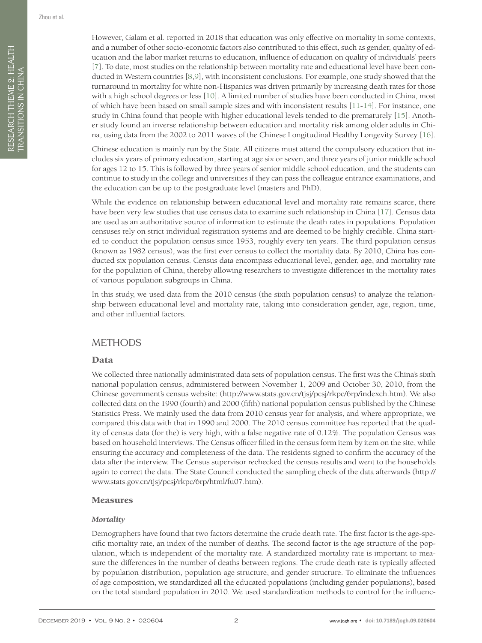RESEARCH THEME 2: HEALTH TRANSITIONS IN CHINA

RESEARCH THEME 2: HEALTH TRANSITIONS IN CHINA However, Galam et al. reported in 2018 that education was only effective on mortality in some contexts, and a number of other socio-economic factors also contributed to this effect, such as gender, quality of education and the labor market returns to education, influence of education on quality of individuals' peers [[7](#page-10-5)]. To date, most studies on the relationship between mortality rate and educational level have been conducted in Western countries [\[8](#page-10-6)[,9\]](#page-10-7), with inconsistent conclusions. For example, one study showed that the turnaround in mortality for white non-Hispanics was driven primarily by increasing death rates for those with a high school degrees or less [\[10](#page-10-8)]. A limited number of studies have been conducted in China, most of which have been based on small sample sizes and with inconsistent results [[11](#page-10-9)-[14](#page-10-10)]. For instance, one study in China found that people with higher educational levels tended to die prematurely [\[15](#page-10-11)]. Another study found an inverse relationship between education and mortality risk among older adults in China, using data from the 2002 to 2011 waves of the Chinese Longitudinal Healthy Longevity Survey [[16](#page-10-12)].

Chinese education is mainly run by the State. All citizens must attend the compulsory education that includes six years of primary education, starting at age six or seven, and three years of junior middle school for ages 12 to 15. This is followed by three years of senior middle school education, and the students can continue to study in the college and universities if they can pass the colleague entrance examinations, and the education can be up to the postgraduate level (masters and PhD).

While the evidence on relationship between educational level and mortality rate remains scarce, there have been very few studies that use census data to examine such relationship in China [\[17\]](#page-10-13). Census data are used as an authoritative source of information to estimate the death rates in populations. Population censuses rely on strict individual registration systems and are deemed to be highly credible. China started to conduct the population census since 1953, roughly every ten years. The third population census (known as 1982 census), was the first ever census to collect the mortality data. By 2010, China has conducted six population census. Census data encompass educational level, gender, age, and mortality rate for the population of China, thereby allowing researchers to investigate differences in the mortality rates of various population subgroups in China.

In this study, we used data from the 2010 census (the sixth population census) to analyze the relationship between educational level and mortality rate, taking into consideration gender, age, region, time, and other influential factors.

## **METHODS**

#### Data

We collected three nationally administrated data sets of population census. The first was the China's sixth national population census, administered between November 1, 2009 and October 30, 2010, from the Chinese government's census website: (http://www.stats.gov.cn/tjsj/pcsj/rkpc/6rp/indexch.htm). We also collected data on the 1990 (fourth) and 2000 (fifth) national population census published by the Chinese Statistics Press. We mainly used the data from 2010 census year for analysis, and where appropriate, we compared this data with that in 1990 and 2000. The 2010 census committee has reported that the quality of census data (for the) is very high, with a false negative rate of 0.12%. The population Census was based on household interviews. The Census officer filled in the census form item by item on the site, while ensuring the accuracy and completeness of the data. The residents signed to confirm the accuracy of the data after the interview. The Census supervisor rechecked the census results and went to the households again to correct the data. The State Council conducted the sampling check of the data afterwards (http:// www.stats.gov.cn/tjsj/pcsj/rkpc/6rp/html/fu07.htm).

#### Measures

#### *Mortality*

Demographers have found that two factors determine the crude death rate. The first factor is the age-specific mortality rate, an index of the number of deaths. The second factor is the age structure of the population, which is independent of the mortality rate. A standardized mortality rate is important to measure the differences in the number of deaths between regions. The crude death rate is typically affected by population distribution, population age structure, and gender structure. To eliminate the influences of age composition, we standardized all the educated populations (including gender populations), based on the total standard population in 2010. We used standardization methods to control for the influenc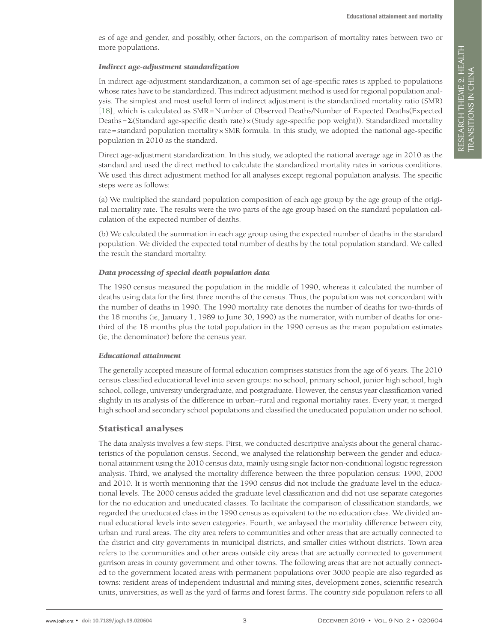es of age and gender, and possibly, other factors, on the comparison of mortality rates between two or more populations.

#### *Indirect age-adjustment standardization*

In indirect age-adjustment standardization, a common set of age-specific rates is applied to populations whose rates have to be standardized. This indirect adjustment method is used for regional population analysis. The simplest and most useful form of indirect adjustment is the standardized mortality ratio (SMR) [\[18](#page-10-14)], which is calculated as SMR=Number of Observed Deaths/Number of Expected Deaths(Expected Deaths=Σ(Standard age-specific death rate)×(Study age-specific pop weight)). Standardized mortality rate=standard population mortality×SMR formula. In this study, we adopted the national age-specific population in 2010 as the standard.

Direct age-adjustment standardization. In this study, we adopted the national average age in 2010 as the standard and used the direct method to calculate the standardized mortality rates in various conditions. We used this direct adjustment method for all analyses except regional population analysis. The specific steps were as follows:

(a) We multiplied the standard population composition of each age group by the age group of the original mortality rate. The results were the two parts of the age group based on the standard population calculation of the expected number of deaths.

(b) We calculated the summation in each age group using the expected number of deaths in the standard population. We divided the expected total number of deaths by the total population standard. We called the result the standard mortality.

#### *Data processing of special death population data*

The 1990 census measured the population in the middle of 1990, whereas it calculated the number of deaths using data for the first three months of the census. Thus, the population was not concordant with the number of deaths in 1990. The 1990 mortality rate denotes the number of deaths for two-thirds of the 18 months (ie, January 1, 1989 to June 30, 1990) as the numerator, with number of deaths for onethird of the 18 months plus the total population in the 1990 census as the mean population estimates (ie, the denominator) before the census year.

#### *Educational attainment*

The generally accepted measure of formal education comprises statistics from the age of 6 years. The 2010 census classified educational level into seven groups: no school, primary school, junior high school, high school, college, university undergraduate, and postgraduate. However, the census year classification varied slightly in its analysis of the difference in urban–rural and regional mortality rates. Every year, it merged high school and secondary school populations and classified the uneducated population under no school.

#### Statistical analyses

The data analysis involves a few steps. First, we conducted descriptive analysis about the general characteristics of the population census. Second, we analysed the relationship between the gender and educational attainment using the 2010 census data, mainly using single factor non-conditional logistic regression analysis. Third, we analysed the mortality difference between the three population census: 1990, 2000 and 2010. It is worth mentioning that the 1990 census did not include the graduate level in the educational levels. The 2000 census added the graduate level classification and did not use separate categories for the no education and uneducated classes. To facilitate the comparison of classification standards, we regarded the uneducated class in the 1990 census as equivalent to the no education class. We divided annual educational levels into seven categories. Fourth, we anlaysed the mortality difference between city, urban and rural areas. The city area refers to communities and other areas that are actually connected to the district and city governments in municipal districts, and smaller cities without districts. Town area refers to the communities and other areas outside city areas that are actually connected to government garrison areas in county government and other towns. The following areas that are not actually connected to the government located areas with permanent populations over 3000 people are also regarded as towns: resident areas of independent industrial and mining sites, development zones, scientific research units, universities, as well as the yard of farms and forest farms. The country side population refers to all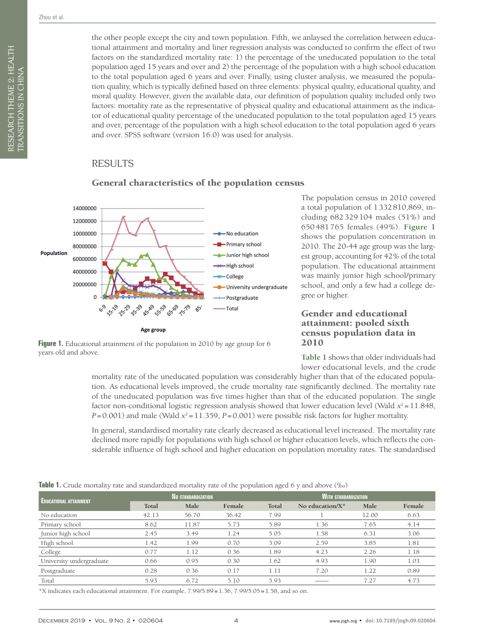the other people except the city and town population. Fifth, we anlaysed the correlation between educational attainment and mortality and liner regression analysis was conducted to confirm the effect of two factors on the standardized mortality rate: 1) the percentage of the uneducated population to the total population aged 15 years and over and 2) the percentage of the population with a high school education to the total population aged 6 years and over. Finally, using cluster analysis, we measured the population quality, which is typically defined based on three elements: physical quality, educational quality, and moral quality. However, given the available data, our definition of population quality included only two factors: mortality rate as the representative of physical quality and educational attainment as the indicator of educational quality percentage of the uneducated population to the total population aged 15 years and over, percentage of the population with a high school education to the total population aged 6 years and over. SPSS software (version 16.0) was used for analysis.

## RESULTS

<span id="page-3-0"></span>

#### General characteristics of the population census

**Figure 1.** Educational attainment of the population in 2010 by age group for 6 years old and above.

The population census in 2010 covered a total population of 1332810,869, including 682 329 104 males (51%) and 650 481 765 females (49%). **[Figure 1](#page-3-0)** shows the population concentration in 2010. The 20-44 age group was the largest group, accounting for 42% of the total population. The educational attainment was mainly junior high school/primary school, and only a few had a college degree or higher.

#### Gender and educational attainment: pooled sixth census population data in 2010

**[Table 1](#page-3-1)** shows that older individuals had lower educational levels, and the crude

mortality rate of the uneducated population was considerably higher than that of the educated population. As educational levels improved, the crude mortality rate significantly declined. The mortality rate of the uneducated population was five times higher than that of the educated population. The single factor non-conditional logistic regression analysis showed that lower education level (Wald  $x^2 = 11.848$ , *P*=0.001) and male (Wald  $x^2$ =11.359, *P*=0.001) were possible risk factors for higher mortality.

In general, standardised mortality rate clearly decreased as educational level increased. The mortality rate declined more rapidly for populations with high school or higher education levels, which reflects the considerable influence of high school and higher education on population mortality rates. The standardised

<span id="page-3-1"></span>

|                               |       |                    | $\mathbf{r}$ | $\overline{\phantom{0}}$ | $\overline{\phantom{a}}$    |       |        |  |  |  |
|-------------------------------|-------|--------------------|--------------|--------------------------|-----------------------------|-------|--------|--|--|--|
| <b>EDUCATIONAL ATTAINMENT</b> |       | NO STANDARDIZATION |              |                          | <b>WITH STANDARDIZATION</b> |       |        |  |  |  |
|                               | Total | Male               | Female       | Total                    | No education/ $X^*$         | Male  | Female |  |  |  |
| No education                  | 42.13 | 56.70              | 36.42        | 7.99                     |                             | 12.00 | 6.63   |  |  |  |
| Primary school                | 8.62  | 11.87              | 5.73         | 5.89                     | 1.36                        | 7.65  | 4.14   |  |  |  |
| Junior high school            | 2.45  | 3.49               | 1.24         | 5.05                     | 1.58                        | 6.31  | 3.06   |  |  |  |
| High school                   | 1.42  | 1.99               | 0.70         | 3.09                     | 2.59                        | 3.85  | 1.81   |  |  |  |
| College                       | 0.77  | 1.12               | 0.36         | 1.89                     | 4.23                        | 2.26  | 1.18   |  |  |  |
| University undergraduate      | 0.66  | 0.95               | 0.30         | 1.62                     | 4.93                        | 1.90  | 1.03   |  |  |  |
| Postgraduate                  | 0.28  | 0.36               | 0.17         | 1.11                     | 7.20                        | 1.22  | 0.89   |  |  |  |
| Total                         | 5.93  | 6.72               | 5.10         | 5.93                     |                             | 7.27  | 4.73   |  |  |  |

\*X indicates each educational attainment. For example, 7.99/5.89**=**1.36, 7.99/5.05**=**1.58, and so on.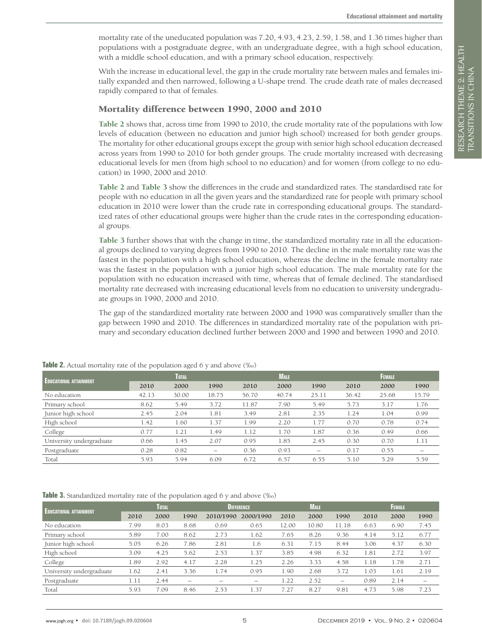mortality rate of the uneducated population was 7.20, 4.93, 4.23, 2.59, 1.58, and 1.36 times higher than populations with a postgraduate degree, with an undergraduate degree, with a high school education, with a middle school education, and with a primary school education, respectively.

With the increase in educational level, the gap in the crude mortality rate between males and females initially expanded and then narrowed, following a U-shape trend. The crude death rate of males decreased rapidly compared to that of females.

## Mortality difference between 1990, 2000 and 2010

**[Table 2](#page-4-0)** shows that, across time from 1990 to 2010, the crude mortality rate of the populations with low levels of education (between no education and junior high school) increased for both gender groups. The mortality for other educational groups except the group with senior high school education decreased across years from 1990 to 2010 for both gender groups. The crude mortality increased with decreasing educational levels for men (from high school to no education) and for women (from college to no education) in 1990, 2000 and 2010.

**[Table 2](#page-4-0)** and **[Table 3](#page-4-1)** show the differences in the crude and standardized rates. The standardised rate for people with no education in all the given years and the standardized rate for people with primary school education in 2010 were lower than the crude rate in corresponding educational groups. The standardized rates of other educational groups were higher than the crude rates in the corresponding educational groups.

**[Table 3](#page-4-1)** further shows that with the change in time, the standardized mortality rate in all the educational groups declined to varying degrees from 1990 to 2010. The decline in the male mortality rate was the fastest in the population with a high school education, whereas the decline in the female mortality rate was the fastest in the population with a junior high school education. The male mortality rate for the population with no education increased with time, whereas that of female declined. The standardised mortality rate decreased with increasing educational levels from no education to university undergraduate groups in 1990, 2000 and 2010.

The gap of the standardized mortality rate between 2000 and 1990 was comparatively smaller than the gap between 1990 and 2010. The differences in standardized mortality rate of the population with primary and secondary education declined further between 2000 and 1990 and between 1990 and 2010.

| $P \sim P$ and $P \sim P \sim P \sim P \sim P$ |       |       |                          |       |             |       |       |               |       |  |  |  |
|------------------------------------------------|-------|-------|--------------------------|-------|-------------|-------|-------|---------------|-------|--|--|--|
| <b>EDUCATIONAL ATTAINMENT</b>                  |       | TOTAL |                          |       | <b>MALE</b> |       |       | <b>FEMALE</b> |       |  |  |  |
|                                                | 2010  | 2000  | 1990                     | 2010  | 2000        | 1990  | 2010  | 2000          | 1990  |  |  |  |
| No education                                   | 42.13 | 30.00 | 18.75                    | 56.70 | 40.74       | 25.11 | 36.42 | 25.68         | 15.79 |  |  |  |
| Primary school                                 | 8.62  | 5.49  | 3.72                     | 11.87 | 7.90        | 5.49  | 5.73  | 3.17          | 1.76  |  |  |  |
| Junior high school                             | 2.45  | 2.04  | 1.81                     | 3.49  | 2.81        | 2.35  | 1.24  | 1.04          | 0.99  |  |  |  |
| High school                                    | 1.42  | 1.60  | 1.37                     | 1.99  | 2.20        | 1.77  | 0.70  | 0.78          | 0.74  |  |  |  |
| College                                        | 0.77  | 1.21  | 1.49                     | 1.12  | 1.70        | 1.87  | 0.36  | 0.49          | 0.66  |  |  |  |
| University undergraduate                       | 0.66  | 1.45  | 2.07                     | 0.95  | 1.85        | 2.45  | 0.30  | 0.70          | 1.11  |  |  |  |
| Postgraduate                                   | 0.28  | 0.82  | $\overline{\phantom{m}}$ | 0.36  | 0.93        | -     | 0.17  | 0.55          |       |  |  |  |
| Total                                          | 5.93  | 5.94  | 6.09                     | 6.72  | 6.57        | 6.55  | 5.10  | 5.29          | 5.59  |  |  |  |
|                                                |       |       |                          |       |             |       |       |               |       |  |  |  |

<span id="page-4-0"></span>**Table 2.** Actual mortality rate of the population aged 6 y and above (%)

<span id="page-4-1"></span>**Table 3.** Standardized mortality rate of the population aged 6 y and above (‰)

| <b>EDUCATIONAL ATTAINMENT</b> | TOTAL |      |                          |           | <b>DIFFERENCE</b>        |       |       | <b>MALE</b>              |      |      |                          |
|-------------------------------|-------|------|--------------------------|-----------|--------------------------|-------|-------|--------------------------|------|------|--------------------------|
|                               | 2010  | 2000 | 1990                     | 2010/1990 | 2000/1990                | 2010  | 2000  | 1990                     | 2010 | 2000 | 1990                     |
| No education                  | 7.99  | 8.03 | 8.68                     | 0.69      | 0.65                     | 12.00 | 10.80 | 11.18                    | 6.63 | 6.90 | 7.45                     |
| Primary school                | 5.89  | 7.00 | 8.62                     | 2.73      | 1.62                     | 7.65  | 8.26  | 9.36                     | 4.14 | 5.12 | 6.77                     |
| Junior high school            | 5.05  | 6.26 | 7.86                     | 2.81      | 1.6                      | 6.31  | 7.15  | 8.44                     | 3.06 | 4.37 | 6.30                     |
| High school                   | 3.09  | 4.25 | 5.62                     | 2.53      | 1.37                     | 3.85  | 4.98  | 6.32                     | 1.81 | 2.72 | 3.97                     |
| College                       | 1.89  | 2.92 | 4.17                     | 2.28      | 1.25                     | 2.26  | 3.33  | 4.58                     | 1.18 | 1.78 | 2.71                     |
| University undergraduate      | 1.62  | 2.41 | 3.36                     | 1.74      | 0.95                     | 1.90  | 2.68  | 3.72                     | 1.03 | 1.61 | 2.19                     |
| Postgraduate                  | 1.11  | 2.44 | $\overline{\phantom{0}}$ | –         | $\overline{\phantom{0}}$ | 1.22  | 2.52  | $\overline{\phantom{0}}$ | 0.89 | 2.14 | $\overline{\phantom{0}}$ |
| Total                         | 5.93  | 7.09 | 8.46                     | 2.53      | .37                      | 7.27  | 8.27  | 9.81                     | 4.73 | 5.98 | 7.23                     |
|                               |       |      |                          |           |                          |       |       |                          |      |      |                          |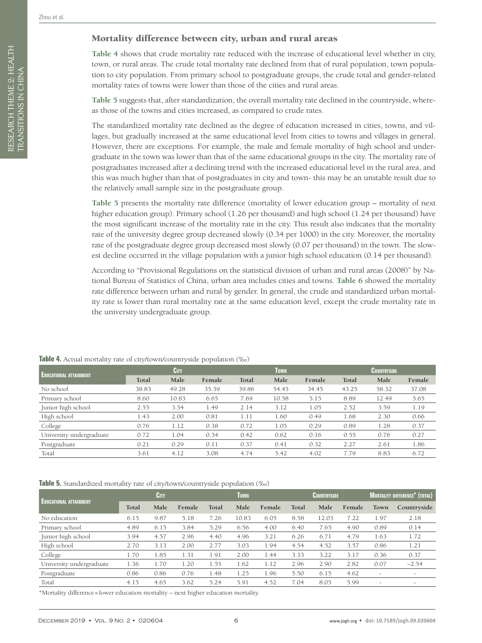RESEARCH THEME 2: HEALTH TRANSITIONS IN CHINA

RESEARCH THEME 2: HEALTH TRANSITIONS IN CHINA

## Mortality difference between city, urban and rural areas

**[Table 4](#page-5-0)** shows that crude mortality rate reduced with the increase of educational level whether in city, town, or rural areas. The crude total mortality rate declined from that of rural population, town population to city population. From primary school to postgraduate groups, the crude total and gender-related mortality rates of towns were lower than those of the cities and rural areas.

**[Table 5](#page-5-1)** suggests that, after standardization, the overall mortality rate declined in the countryside, whereas those of the towns and cities increased, as compared to crude rates.

The standardized mortality rate declined as the degree of education increased in cities, towns, and villages, but gradually increased at the same educational level from cities to towns and villages in general. However, there are exceptions. For example, the male and female mortality of high school and undergraduate in the town was lower than that of the same educational groups in the city. The mortality rate of postgraduates increased after a declining trend with the increased educational level in the rural area, and this was much higher than that of postgraduates in city and town- this may be an unstable result due to the relatively small sample size in the postgraduate group.

**[Table 5](#page-5-1)** presents the mortality rate difference (mortality of lower education group – mortality of next higher education group). Primary school (1.26 per thousand) and high school (1.24 per thousand) have the most significant increase of the mortality rate in the city. This result also indicates that the mortality rate of the university degree group decreased slowly (0.34 per 1000) in the city. Moreover, the mortality rate of the postgraduate degree group decreased most slowly (0.07 per thousand) in the town. The slowest decline occurred in the village population with a junior high school education (0.14 per thousand).

According to "Provisional Regulations on the statistical division of urban and rural areas (2008)" by National Bureau of Statistics of China, urban area includes cities and towns. **[Table 6](#page-6-0)** showed the mortality rate difference between urban and rural by gender. In general, the crude and standardized urban mortality rate is lower than rural mortality rate at the same education level, except the crude mortality rate in the university undergraduate group.

|                               |       |       | ---    |       |       |        |       |                    |        |
|-------------------------------|-------|-------|--------|-------|-------|--------|-------|--------------------|--------|
| <b>EDUCATIONAL ATTAINMENT</b> |       | CITY  |        |       | Town  |        |       | <b>COUNTRYSIDE</b> |        |
|                               | Total | Male  | Female | Total | Male  | Female | Total | Male               | Female |
| No school                     | 38.83 | 49.28 | 35.39  | 39.86 | 54.45 | 34.45  | 43.25 | 58.32              | 37.08  |
| Primary school                | 8.60  | 10.83 | 6.65   | 7.69  | 10.58 | 5.15   | 8.89  | 12.49              | 5.65   |
| Junior high school            | 2.55  | 3.54  | 1.49   | 2.14  | 3.12  | 1.05   | 2.52  | 3.59               | 1.19   |
| High school                   | 1.43  | 2.00  | 0.81   | 1.11  | 1.60  | 0.49   | 1.68  | 2.30               | 0.66   |
| College                       | 0.76  | 1.12  | 0.38   | 0.72  | 1.05  | 0.29   | 0.89  | 1.28               | 0.37   |
| University undergraduate      | 0.72  | 1.04  | 0.34   | 0.42  | 0.62  | 0.16   | 0.55  | 0.76               | 0.27   |
| Postgraduate                  | 0.21  | 0.29  | 0.11   | 0.37  | 0.41  | 0.32   | 2.27  | 2.61               | 1.86   |
| Total                         | 3.61  | 4.12  | 3.08   | 4.74  | 5.42  | 4.02   | 7.79  | 8.83               | 6.72   |

#### <span id="page-5-0"></span>**Table 4.** Actual mortality rate of city/town/countryside population (%)

<span id="page-5-1"></span>**Table 5.** Standardized mortality rate of city/town/countryside population (‰)

|                               | CITY  |      |        |       | Town  |        |       | COUNTRYSIDE |        |      | <b>MORTALITY DIFFERENCE<sup>*</sup> (TOTAL)</b> |  |  |
|-------------------------------|-------|------|--------|-------|-------|--------|-------|-------------|--------|------|-------------------------------------------------|--|--|
| <b>EDUCATIONAL ATTAINMENT</b> | Total | Male | Female | Total | Male  | Female | Total | Male        | Female | Town | Countryside                                     |  |  |
| No education                  | 6.15  | 9.87 | 5.18   | 7.26  | 10.83 | 6.05   | 8.58  | 12.03       | 7.22   | 1.97 | 2.18                                            |  |  |
| Primary school                | 4.89  | 6.15 | 3.84   | 5.29  | 6.56  | 4.00   | 6.40  | 7.65        | 4.90   | 0.89 | 0.14                                            |  |  |
| Junior high school            | 3.94  | 4.57 | 2.96   | 4.40  | 4.96  | 3.21   | 6.26  | 6.71        | 4.79   | 1.63 | 1.72                                            |  |  |
| High school                   | 2.70  | 3.13 | 2.00   | 2.77  | 3.03  | 1.94   | 4.54  | 4.52        | 3.57   | 0.86 | 1.21                                            |  |  |
| College                       | 1.70  | 1.85 | 1.31   | 1.91  | 2.00  | 1.44   | 3.33  | 3.22        | 3.17   | 0.36 | 0.37                                            |  |  |
| University undergraduate      | 1.36  | 1.70 | 1.20   | 1.55  | 1.62  | 1.12   | 2.96  | 2.90        | 2.82   | 0.07 | $-2.54$                                         |  |  |
| Postgraduate                  | 0.86  | 0.86 | 0.76   | 1.48  | 1.25  | 1.96   | 5.50  | 6.15        | 4.62   | -    |                                                 |  |  |
| Total                         | 4.15  | 4.65 | 3.62   | 5.24  | 5.91  | 4.52   | 7.04  | 8.05        | 5.99   | -    | $-$                                             |  |  |

\*Mortality difference=lower education mortality – next higher education mortality.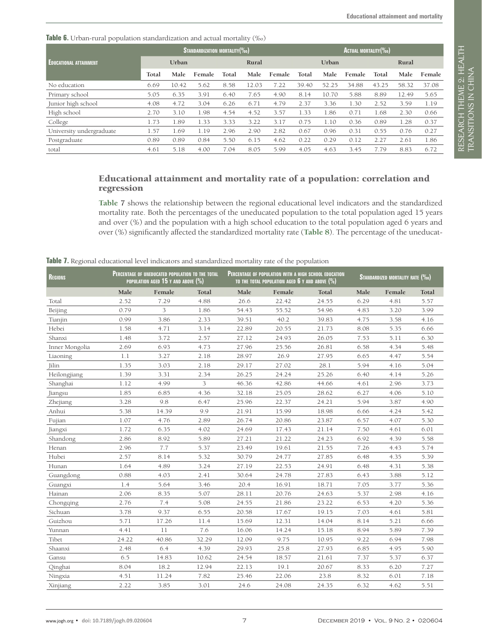<span id="page-6-0"></span>**Table 6.** Urban-rural population standardization and actual mortality (‰)

|                               | STANDARDIZATION MORTALITY (%0) |       |        |       |       |        |       | ACTUAL MORTALITY(%0) |        |       |       |        |  |
|-------------------------------|--------------------------------|-------|--------|-------|-------|--------|-------|----------------------|--------|-------|-------|--------|--|
| <b>EDUCATIONAL ATTAINMENT</b> | Urban                          |       |        | Rural |       |        | Urban |                      |        | Rural |       |        |  |
|                               | Total                          | Male  | Female | Total | Male  | Female | Total | Male                 | Female | Total | Male  | Female |  |
| No education                  | 6.69                           | 10.42 | 5.62   | 8.58  | 12.03 | 7.22   | 39.40 | 52.25                | 34.88  | 43.25 | 58.32 | 37.08  |  |
| Primary school                | 5.05                           | 6.35  | 3.91   | 6.40  | 7.65  | 4.90   | 8.14  | 10.70                | 5.88   | 8.89  | 12.49 | 5.65   |  |
| Junior high school            | 4.08                           | 4.72  | 3.04   | 6.26  | 6.71  | 4.79   | 2.37  | 3.36                 | 1.30   | 2.52  | 3.59  | 1.19   |  |
| High school                   | 2.70                           | 3.10  | 1.98   | 4.54  | 4.52  | 3.57   | 1.33  | 1.86                 | 0.71   | 1.68  | 2.30  | 0.66   |  |
| College                       | 1.73                           | 1.89  | 1.33   | 3.33  | 3.22  | 3.17   | 0.75  | 1.10                 | 0.36   | 0.89  | 1.28  | 0.37   |  |
| University undergraduate      | 1.57                           | 1.69  | l.19   | 2.96  | 2.90  | 2.82   | 0.67  | 0.96                 | 0.31   | 0.55  | 0.76  | 0.27   |  |
| Postgraduate                  | 0.89                           | 0.89  | 0.84   | 5.50  | 6.15  | 4.62   | 0.22  | 0.29                 | 0.12   | 2.27  | 2.61  | 1.86   |  |
| total                         | 4.61                           | 5.18  | 4.00   | 7.04  | 8.05  | 5.99   | 4.05  | 4.63                 | 3.45   | 7.79  | 8.83  | 6.72   |  |

### Educational attainment and mortality rate of a population: correlation and regression

**[Table](#page-6-1) 7** shows the relationship between the regional educational level indicators and the standardized mortality rate. Both the percentages of the uneducated population to the total population aged 15 years and over (%) and the population with a high school education to the total population aged 6 years and over (%) significantly affected the standardized mortality rate (**[Table 8](#page-7-0)**). The percentage of the uneducat-

<span id="page-6-1"></span>**Table 7.** Regional educational level indicators and standardized mortality rate of the population

| <b>REGIONS</b> | PERCENTAGE OF UNEDUCATED POPULATION TO THE TOTAL<br>POPULATION AGED 15 Y AND ABOVE (%) |        |       |       | PERCENTAGE OF POPULATION WITH A HIGH SCHOOL EDUCATION<br>TO THE TOTAL POPULATION AGED $6$ Y and above $(\%)$ |       | <b>STANDARDIZED MORTALITY RATE (%0)</b> |        |       |  |
|----------------|----------------------------------------------------------------------------------------|--------|-------|-------|--------------------------------------------------------------------------------------------------------------|-------|-----------------------------------------|--------|-------|--|
|                | Male                                                                                   | Female | Total | Male  | Female                                                                                                       | Total | Male                                    | Female | Total |  |
| Total          | 2.52                                                                                   | 7.29   | 4.88  | 26.6  | 22.42                                                                                                        | 24.55 | 6.29                                    | 4.81   | 5.57  |  |
| Beijing        | 0.79                                                                                   | 3      | 1.86  | 54.43 | 55.52                                                                                                        | 54.96 | 4.83                                    | 3.20   | 3.99  |  |
| Tianjin        | 0.99                                                                                   | 3.86   | 2.33  | 39.51 | 40.2                                                                                                         | 39.83 | 4.75                                    | 3.58   | 4.16  |  |
| Hebei          | 1.58                                                                                   | 4.71   | 3.14  | 22.89 | 20.55                                                                                                        | 21.73 | 8.08                                    | 5.35   | 6.66  |  |
| Shanxi         | 1.48                                                                                   | 3.72   | 2.57  | 27.12 | 24.93                                                                                                        | 26.05 | 7.53                                    | 5.11   | 6.30  |  |
| Inner Mongolia | 2.69                                                                                   | 6.93   | 4.73  | 27.96 | 25.56                                                                                                        | 26.81 | 6.58                                    | 4.34   | 5.48  |  |
| Liaoning       | 1.1                                                                                    | 3.27   | 2.18  | 28.97 | 26.9                                                                                                         | 27.95 | 6.65                                    | 4.47   | 5.54  |  |
| Jilin          | 1.35                                                                                   | 3.03   | 2.18  | 29.17 | 27.02                                                                                                        | 28.1  | 5.94                                    | 4.16   | 5.04  |  |
| Heilongjiang   | 1.39                                                                                   | 3.31   | 2.34  | 26.25 | 24.24                                                                                                        | 25.26 | 6.40                                    | 4.14   | 5.26  |  |
| Shanghai       | 1.12                                                                                   | 4.99   | 3     | 46.36 | 42.86                                                                                                        | 44.66 | 4.61                                    | 2.96   | 3.73  |  |
| Jiangsu        | 1.85                                                                                   | 6.85   | 4.36  | 32.18 | 25.05                                                                                                        | 28.62 | 6.27                                    | 4.06   | 5.10  |  |
| Zhejiang       | 3.28                                                                                   | 9.8    | 6.47  | 25.96 | 22.37                                                                                                        | 24.21 | 5.94                                    | 3.87   | 4.90  |  |
| Anhui          | 5.38                                                                                   | 14.39  | 9.9   | 21.91 | 15.99                                                                                                        | 18.98 | 6.66                                    | 4.24   | 5.42  |  |
| Fujian         | 1.07                                                                                   | 4.76   | 2.89  | 26.74 | 20.86                                                                                                        | 23.87 | 6.57                                    | 4.07   | 5.30  |  |
| Jiangxi        | 1.72                                                                                   | 6.35   | 4.02  | 24.69 | 17.43                                                                                                        | 21.14 | 7.50                                    | 4.61   | 6.01  |  |
| Shandong       | 2.86                                                                                   | 8.92   | 5.89  | 27.21 | 21.22                                                                                                        | 24.23 | 6.92                                    | 4.39   | 5.58  |  |
| Henan          | 2.96                                                                                   | 7.7    | 5.37  | 23.49 | 19.61                                                                                                        | 21.55 | 7.26                                    | 4.43   | 5.74  |  |
| Hubei          | 2.57                                                                                   | 8.14   | 5.32  | 30.79 | 24.77                                                                                                        | 27.85 | 6.48                                    | 4.35   | 5.39  |  |
| Hunan          | 1.64                                                                                   | 4.89   | 3.24  | 27.19 | 22.53                                                                                                        | 24.91 | 6.48                                    | 4.31   | 5.38  |  |
| Guangdong      | 0.88                                                                                   | 4.03   | 2.41  | 30.64 | 24.78                                                                                                        | 27.83 | 6.43                                    | 3.88   | 5.12  |  |
| Guangxi        | 1.4                                                                                    | 5.64   | 3.46  | 20.4  | 16.91                                                                                                        | 18.71 | 7.05                                    | 3.77   | 5.36  |  |
| Hainan         | 2.06                                                                                   | 8.35   | 5.07  | 28.11 | 20.76                                                                                                        | 24.63 | 5.37                                    | 2.98   | 4.16  |  |
| Chongqing      | 2.76                                                                                   | 7.4    | 5.08  | 24.55 | 21.86                                                                                                        | 23.22 | 6.53                                    | 4.20   | 5.36  |  |
| Sichuan        | 3.78                                                                                   | 9.37   | 6.55  | 20.58 | 17.67                                                                                                        | 19.15 | 7.03                                    | 4.61   | 5.81  |  |
| Guizhou        | 5.71                                                                                   | 17.26  | 11.4  | 15.69 | 12.31                                                                                                        | 14.04 | 8.14                                    | 5.21   | 6.66  |  |
| Yunnan         | 4.41                                                                                   | 11     | 7.6   | 16.06 | 14.24                                                                                                        | 15.18 | 8.94                                    | 5.89   | 7.39  |  |
| Tibet          | 24.22                                                                                  | 40.86  | 32.29 | 12.09 | 9.75                                                                                                         | 10.95 | 9.22                                    | 6.94   | 7.98  |  |
| Shaanxi        | 2.48                                                                                   | 6.4    | 4.39  | 29.93 | 25.8                                                                                                         | 27.93 | 6.85                                    | 4.95   | 5.90  |  |
| Gansu          | 6.5                                                                                    | 14.83  | 10.62 | 24.54 | 18.57                                                                                                        | 21.61 | 7.37                                    | 5.37   | 6.37  |  |
| Qinghai        | 8.04                                                                                   | 18.2   | 12.94 | 22.13 | 19.1                                                                                                         | 20.67 | 8.33                                    | 6.20   | 7.27  |  |
| Ningxia        | 4.51                                                                                   | 11.24  | 7.82  | 25.46 | 22.06                                                                                                        | 23.8  | 8.32                                    | 6.01   | 7.18  |  |
| Xinjiang       | 2.22                                                                                   | 3.85   | 3.01  | 24.6  | 24.08                                                                                                        | 24.35 | 6.32                                    | 4.62   | 5.51  |  |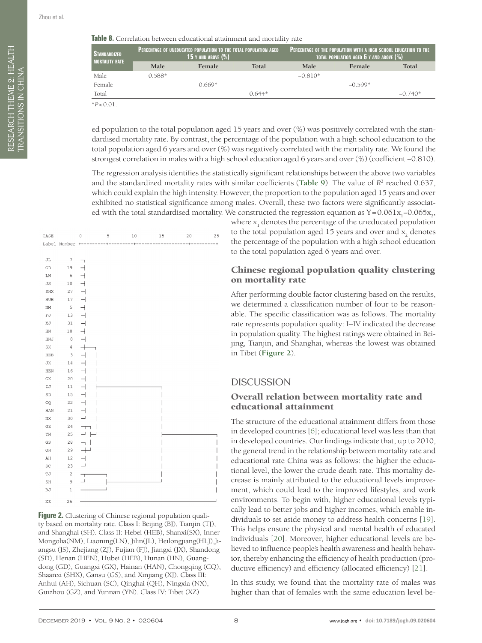<span id="page-7-0"></span>

| <b>STANDARDIZED,</b><br><b>MORTALITY RATE</b> |          | <b>PERCENTAGE OF UNEDUCATED POPULATION TO THE TOTAL POPULATION AGED</b><br>$(15$ y and above $(\%)$ ) |          | <b>PERCENTAGE OF THE POPULATION WITH A HIGH SCHOOL EDUCATION TO THE</b><br>TOTAL POPULATION AGED $\boldsymbol{6}$ y and above $(\%)$ |           |           |  |  |
|-----------------------------------------------|----------|-------------------------------------------------------------------------------------------------------|----------|--------------------------------------------------------------------------------------------------------------------------------------|-----------|-----------|--|--|
|                                               | Male     | Female                                                                                                | Total    | <b>Male</b>                                                                                                                          | Female    | Total     |  |  |
| Male                                          | $0.588*$ |                                                                                                       |          | $-0.810*$                                                                                                                            |           |           |  |  |
| Female                                        |          | በ 669*                                                                                                |          |                                                                                                                                      | $-0.599*$ |           |  |  |
| Total                                         |          |                                                                                                       | $0.644*$ |                                                                                                                                      |           | $-0.740*$ |  |  |
| $*P < 0.01$                                   |          |                                                                                                       |          |                                                                                                                                      |           |           |  |  |

ed population to the total population aged 15 years and over (%) was positively correlated with the standardised mortality rate. By contrast, the percentage of the population with a high school education to the total population aged 6 years and over (%) was negatively correlated with the mortality rate. We found the strongest correlation in males with a high school education aged 6 years and over (%) (coefficient −0.810).

The regression analysis identifies the statistically significant relationships between the above two variables and the standardized mortality rates with similar coefficients ([Table 9](#page-8-0)). The value of  $R^2$  reached 0.637, which could explain the high intensity. However, the proportion to the population aged 15 years and over exhibited no statistical significance among males. Overall, these two factors were significantly associated with the total standardised mortality. We constructed the regression equation as Y=0.061x<sub>1</sub>-0.065x<sub>2</sub>,

<span id="page-7-1"></span>

**Figure 2.** Clustering of Chinese regional population quality based on mortality rate. Class I: Beijing (BJ), Tianjin (TJ), and Shanghai (SH). Class II: Hebei (HEB), Shanxi(SX), Inner Mongolia(NM), Liaoning(LN), Jilin(JL), Heilongjiang(HLJ),Jiangsu (JS), Zhejiang (ZJ), Fujian (FJ), Jiangxi (JX), Shandong (SD), Henan (HEN), Hubei (HEB), Hunan (HN), Guangdong (GD), Guangxi (GX), Hainan (HAN), Chongqing (CQ), Shaanxi (SHX), Gansu (GS), and Xinjiang (XJ). Class III: Anhui (AH), Sichuan (SC), Qinghai (QH), Ningxia (NX), Guizhou (GZ), and Yunnan (YN). Class IV: Tibet (XZ)

where  $\mathbf{x}_1$  denotes the percentage of the uneducated population to the total population aged 15 years and over and  $\mathbf{x}_\mathrm{2}$  denotes the percentage of the population with a high school education to the total population aged 6 years and over.

### Chinese regional population quality clustering on mortality rate

After performing double factor clustering based on the results, we determined a classification number of four to be reasonable. The specific classification was as follows. The mortality rate represents population quality: I–IV indicated the decrease in population quality. The highest ratings were obtained in Beijing, Tianjin, and Shanghai, whereas the lowest was obtained in Tibet (**[Figure 2](#page-7-1)**).

## **DISCUSSION**

#### Overall relation between mortality rate and educational attainment

The structure of the educational attainment differs from those in developed countries [[6](#page-10-4)]; educational level was less than that in developed countries. Our findings indicate that, up to 2010, the general trend in the relationship between mortality rate and educational rate China was as follows: the higher the educational level, the lower the crude death rate. This mortality decrease is mainly attributed to the educational levels improvement, which could lead to the improved lifestyles, and work environments. To begin with, higher educational levels typically lead to better jobs and higher incomes, which enable individuals to set aside money to address health concerns [[19](#page-10-15)]. This helps ensure the physical and mental health of educated individuals [\[20\]](#page-10-16). Moreover, higher educational levels are believed to influence people's health awareness and health behavior, thereby enhancing the efficiency of health production (productive efficiency) and efficiency (allocated efficiency) [[21\]](#page-10-17).

In this study, we found that the mortality rate of males was higher than that of females with the same education level be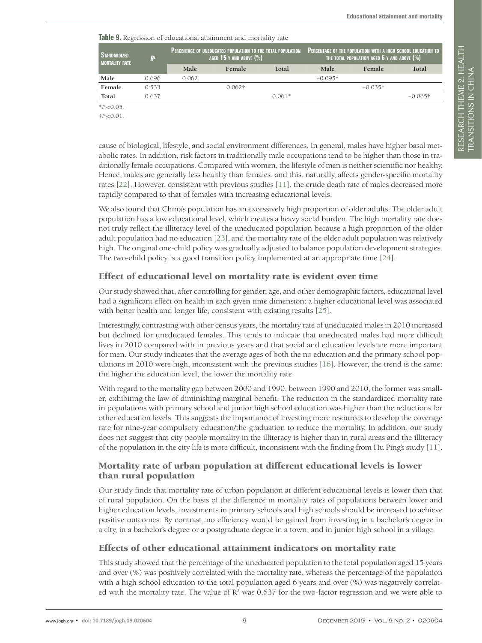<span id="page-8-0"></span>**Table 9.** Regression of educational attainment and mortality rate

| <b>STANDARDIZED</b><br><b>MORTALITY RATE</b> | $R^2$ |       | PERCENTAGE OF UNEDUCATED POPULATION TO THE TOTAL POPULATION<br>AGED 15 Y AND ABOVE $(\%)$ |          | <b>PERCENTAGE OF THE POPULATION WITH A HIGH SCHOOL EDUCATION TO</b><br>THE TOTAL POPULATION AGED $\boldsymbol{6}$ Y and above $(\%)$ $'$ |           |            |  |  |
|----------------------------------------------|-------|-------|-------------------------------------------------------------------------------------------|----------|------------------------------------------------------------------------------------------------------------------------------------------|-----------|------------|--|--|
|                                              |       | Male  | Female                                                                                    | Total    | <b>Male</b>                                                                                                                              | Female    | Total      |  |  |
| Male                                         | 0.696 | 0.062 |                                                                                           |          | $-0.095$ †                                                                                                                               |           |            |  |  |
| Female                                       | 0.533 |       | $0.062\dagger$                                                                            |          |                                                                                                                                          | $-0.035*$ |            |  |  |
| Total                                        | 0.637 |       |                                                                                           | $0.061*$ |                                                                                                                                          |           | $-0.065$ † |  |  |
| $*P < 0.05$ .                                |       |       |                                                                                           |          |                                                                                                                                          |           |            |  |  |

†*P*<0.01.

cause of biological, lifestyle, and social environment differences. In general, males have higher basal metabolic rates. In addition, risk factors in traditionally male occupations tend to be higher than those in traditionally female occupations. Compared with women, the lifestyle of men is neither scientific nor healthy. Hence, males are generally less healthy than females, and this, naturally, affects gender-specific mortality rates [[22](#page-10-18)]. However, consistent with previous studies [[11](#page-10-9)], the crude death rate of males decreased more rapidly compared to that of females with increasing educational levels.

We also found that China's population has an excessively high proportion of older adults. The older adult population has a low educational level, which creates a heavy social burden. The high mortality rate does not truly reflect the illiteracy level of the uneducated population because a high proportion of the older adult population had no education [[23](#page-10-19)], and the mortality rate of the older adult population was relatively high. The original one-child policy was gradually adjusted to balance population development strategies. The two-child policy is a good transition policy implemented at an appropriate time [[24](#page-10-20)].

## Effect of educational level on mortality rate is evident over time

Our study showed that, after controlling for gender, age, and other demographic factors, educational level had a significant effect on health in each given time dimension: a higher educational level was associated with better health and longer life, consistent with existing results [\[25\]](#page-10-21).

Interestingly, contrasting with other census years, the mortality rate of uneducated males in 2010 increased but declined for uneducated females. This tends to indicate that uneducated males had more difficult lives in 2010 compared with in previous years and that social and education levels are more important for men. Our study indicates that the average ages of both the no education and the primary school populations in 2010 were high, inconsistent with the previous studies [\[16](#page-10-12)]. However, the trend is the same: the higher the education level, the lower the mortality rate.

With regard to the mortality gap between 2000 and 1990, between 1990 and 2010, the former was smaller, exhibiting the law of diminishing marginal benefit. The reduction in the standardized mortality rate in populations with primary school and junior high school education was higher than the reductions for other education levels. This suggests the importance of investing more resources to develop the coverage rate for nine-year compulsory education/the graduation to reduce the mortality. In addition, our study does not suggest that city people mortality in the illiteracy is higher than in rural areas and the illiteracy of the population in the city life is more difficult, inconsistent with the finding from Hu Ping's study [[11\]](#page-10-9).

## Mortality rate of urban population at different educational levels is lower than rural population

Our study finds that mortality rate of urban population at different educational levels is lower than that of rural population. On the basis of the difference in mortality rates of populations between lower and higher education levels, investments in primary schools and high schools should be increased to achieve positive outcomes. By contrast, no efficiency would be gained from investing in a bachelor's degree in a city, in a bachelor's degree or a postgraduate degree in a town, and in junior high school in a village.

#### Effects of other educational attainment indicators on mortality rate

This study showed that the percentage of the uneducated population to the total population aged 15 years and over (%) was positively correlated with the mortality rate, whereas the percentage of the population with a high school education to the total population aged 6 years and over (%) was negatively correlated with the mortality rate. The value of  $R^2$  was 0.637 for the two-factor regression and we were able to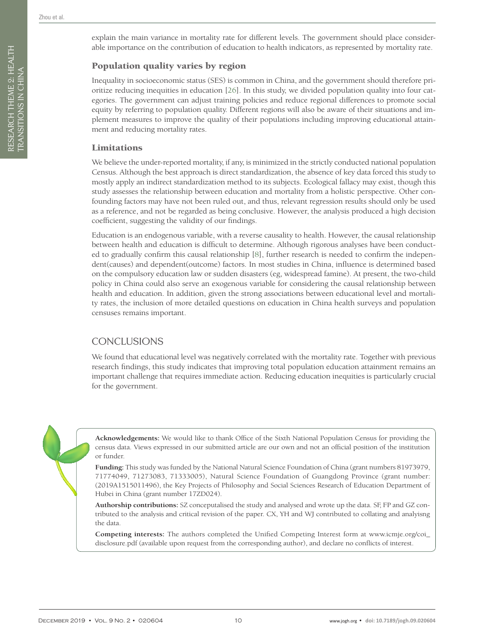## Population quality varies by region

Inequality in socioeconomic status (SES) is common in China, and the government should therefore prioritize reducing inequities in education [26]. In this study, we divided population quality into four categories. The government can adjust training policies and reduce regional differences to promote social equity by referring to population quality. Different regions will also be aware of their situations and implement measures to improve the quality of their populations including improving educational attainment and reducing mortality rates.

#### Limitations

We believe the under-reported mortality, if any, is minimized in the strictly conducted national population Census. Although the best approach is direct standardization, the absence of key data forced this study to mostly apply an indirect standardization method to its subjects. Ecological fallacy may exist, though this study assesses the relationship between education and mortality from a holistic perspective. Other confounding factors may have not been ruled out, and thus, relevant regression results should only be used as a reference, and not be regarded as being conclusive. However, the analysis produced a high decision coefficient, suggesting the validity of our findings.

Education is an endogenous variable, with a reverse causality to health. However, the causal relationship between health and education is difficult to determine. Although rigorous analyses have been conducted to gradually confirm this causal relationship [[8](#page-10-6)], further research is needed to confirm the independent(causes) and dependent(outcome) factors. In most studies in China, influence is determined based on the compulsory education law or sudden disasters (eg, widespread famine). At present, the two-child policy in China could also serve an exogenous variable for considering the causal relationship between health and education. In addition, given the strong associations between educational level and mortality rates, the inclusion of more detailed questions on education in China health surveys and population censuses remains important.

# CONCLUSIONS

We found that educational level was negatively correlated with the mortality rate. Together with previous research findings, this study indicates that improving total population education attainment remains an important challenge that requires immediate action. Reducing education inequities is particularly crucial for the government.



**Acknowledgements:** We would like to thank Office of the Sixth National Population Census for providing the census data. Views expressed in our submitted article are our own and not an official position of the institution or funder.

**Funding:** This study was funded by the National Natural Science Foundation of China (grant numbers 81973979, 71774049, 71273083, 71333005), Natural Science Foundation of Guangdong Province (grant number: (2019A1515011496), the Key Projects of Philosophy and Social Sciences Research of Education Department of Hubei in China (grant number 17ZD024).

**Authorship contributions:** SZ conceputalised the study and analysed and wrote up the data. SF, FP and GZ contributed to the analysis and critical revision of the paper. CX, YH and WJ contributed to collating and analyisng the data.

**Competing interests:** The authors completed the Unified Competing Interest form at [www.icmje.org/coi\\_](http://www.icmje.org/coi_disclosure.pdf) [disclosure.pdf](http://www.icmje.org/coi_disclosure.pdf) (available upon request from the corresponding author), and declare no conflicts of interest.